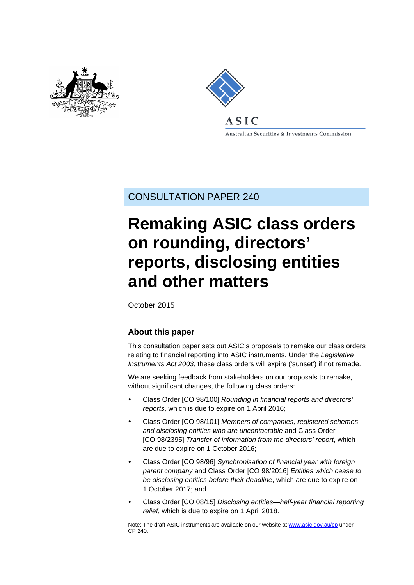



Australian Securities & Investments Commission

CONSULTATION PAPER 240

# **Remaking ASIC class orders on rounding, directors' reports, disclosing entities and other matters**

October 2015

# **About this paper**

This consultation paper sets out ASIC's proposals to remake our class orders relating to financial reporting into ASIC instruments. Under the *Legislative Instruments Act 2003*, these class orders will expire ('sunset') if not remade.

We are seeking feedback from stakeholders on our proposals to remake, without significant changes, the following class orders:

- Class Order [CO 98/100] *Rounding in financial reports and directors' reports*, which is due to expire on 1 April 2016;
- Class Order [CO 98/101] *Members of companies, registered schemes and disclosing entities who are uncontactable* and Class Order [CO 98/2395] *Transfer of information from the directors' report*, which are due to expire on 1 October 2016;
- Class Order [CO 98/96] *Synchronisation of financial year with foreign parent company* and Class Order [CO 98/2016] *Entities which cease to be disclosing entities before their deadline*, which are due to expire on 1 October 2017; and
- Class Order [CO 08/15] *Disclosing entities—half-year financial reporting relief*, which is due to expire on 1 April 2018.

Note: The draft ASIC instruments are available on our website at [www.asic.gov.au/cp](http://www.asic.gov.au/regulatory-resources/find-a-document/consultation-papers/) under CP 240.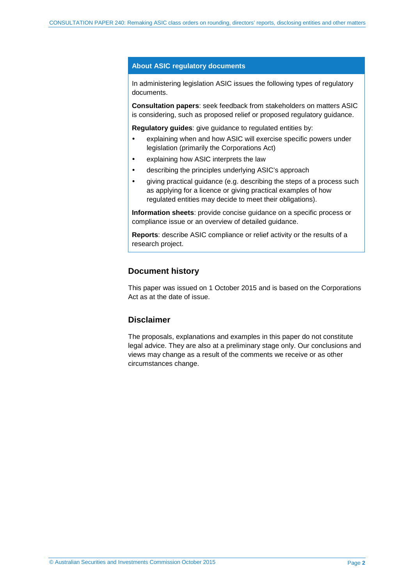#### **About ASIC regulatory documents**

In administering legislation ASIC issues the following types of regulatory documents.

**Consultation papers**: seek feedback from stakeholders on matters ASIC is considering, such as proposed relief or proposed regulatory guidance.

**Regulatory guides**: give guidance to regulated entities by:

- explaining when and how ASIC will exercise specific powers under legislation (primarily the Corporations Act)
- explaining how ASIC interprets the law
- describing the principles underlying ASIC's approach
- giving practical guidance (e.g. describing the steps of a process such as applying for a licence or giving practical examples of how regulated entities may decide to meet their obligations).

**Information sheets**: provide concise guidance on a specific process or compliance issue or an overview of detailed guidance.

**Reports**: describe ASIC compliance or relief activity or the results of a research project.

#### **Document history**

This paper was issued on 1 October 2015 and is based on the Corporations Act as at the date of issue.

### **Disclaimer**

The proposals, explanations and examples in this paper do not constitute legal advice. They are also at a preliminary stage only. Our conclusions and views may change as a result of the comments we receive or as other circumstances change.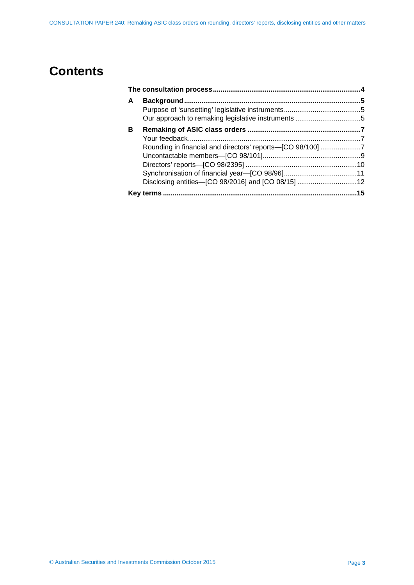# **Contents**

| A |                                                    |  |  |
|---|----------------------------------------------------|--|--|
|   |                                                    |  |  |
|   |                                                    |  |  |
| в |                                                    |  |  |
|   |                                                    |  |  |
|   |                                                    |  |  |
|   |                                                    |  |  |
|   |                                                    |  |  |
|   |                                                    |  |  |
|   | Disclosing entities-[CO 98/2016] and [CO 08/15] 12 |  |  |
|   |                                                    |  |  |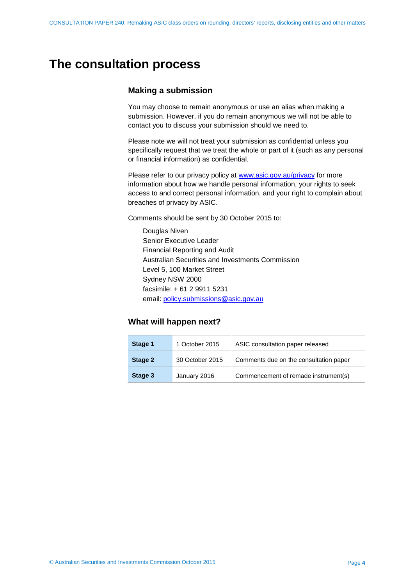# <span id="page-3-0"></span>**The consultation process**

## **Making a submission**

You may choose to remain anonymous or use an alias when making a submission. However, if you do remain anonymous we will not be able to contact you to discuss your submission should we need to.

Please note we will not treat your submission as confidential unless you specifically request that we treat the whole or part of it (such as any personal or financial information) as confidential.

Please refer to our privacy policy at [www.asic.gov.au/privacy](http://www.asic.gov.au/privacy) for more information about how we handle personal information, your rights to seek access to and correct personal information, and your right to complain about breaches of privacy by ASIC.

Comments should be sent by 30 October 2015 to:

Douglas Niven Senior Executive Leader Financial Reporting and Audit Australian Securities and Investments Commission Level 5, 100 Market Street Sydney NSW 2000 facsimile: + 61 2 9911 5231 email: policy.submissions@asic.gov.au

### **What will happen next?**

| Stage 1 | 1 October 2015  | ASIC consultation paper released       |
|---------|-----------------|----------------------------------------|
| Stage 2 | 30 October 2015 | Comments due on the consultation paper |
| Stage 3 | January 2016    | Commencement of remade instrument(s)   |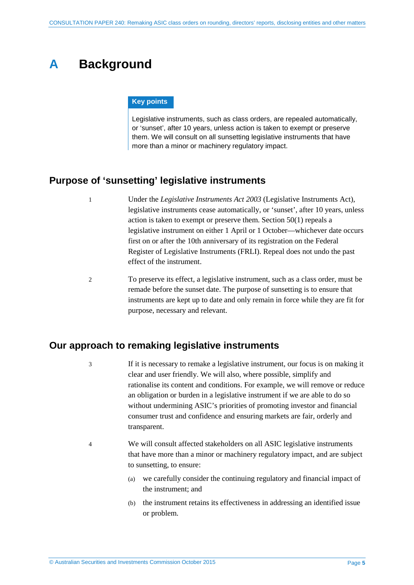# <span id="page-4-0"></span>**A Background**

#### **Key points**

Legislative instruments, such as class orders, are repealed automatically, or 'sunset', after 10 years, unless action is taken to exempt or preserve them. We will consult on all sunsetting legislative instruments that have more than a minor or machinery regulatory impact.

# <span id="page-4-1"></span>**Purpose of 'sunsetting' legislative instruments**

- 1 Under the *Legislative Instruments Act 2003* (Legislative Instruments Act), legislative instruments cease automatically, or 'sunset', after 10 years, unless action is taken to exempt or preserve them. Section 50(1) repeals a legislative instrument on either 1 April or 1 October—whichever date occurs first on or after the 10th anniversary of its registration on the Federal Register of Legislative Instruments (FRLI). Repeal does not undo the past effect of the instrument.
- 2 To preserve its effect, a legislative instrument, such as a class order, must be remade before the sunset date. The purpose of sunsetting is to ensure that instruments are kept up to date and only remain in force while they are fit for purpose, necessary and relevant.

# <span id="page-4-2"></span>**Our approach to remaking legislative instruments**

- 3 If it is necessary to remake a legislative instrument, our focus is on making it clear and user friendly. We will also, where possible, simplify and rationalise its content and conditions. For example, we will remove or reduce an obligation or burden in a legislative instrument if we are able to do so without undermining ASIC's priorities of promoting investor and financial consumer trust and confidence and ensuring markets are fair, orderly and transparent.
- 4 We will consult affected stakeholders on all ASIC legislative instruments that have more than a minor or machinery regulatory impact, and are subject to sunsetting, to ensure:
	- (a) we carefully consider the continuing regulatory and financial impact of the instrument; and
	- (b) the instrument retains its effectiveness in addressing an identified issue or problem.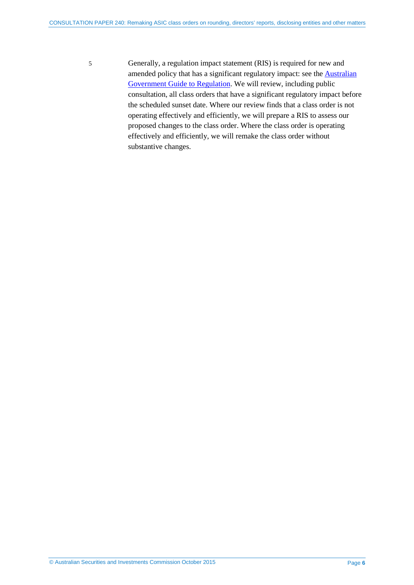5 Generally, a regulation impact statement (RIS) is required for new and amended policy that has a significant regulatory impact: see the [Australian](https://www.cuttingredtape.gov.au/handbook/australian-government-guide-regulation)  [Government Guide to Regulation.](https://www.cuttingredtape.gov.au/handbook/australian-government-guide-regulation) We will review, including public consultation, all class orders that have a significant regulatory impact before the scheduled sunset date. Where our review finds that a class order is not operating effectively and efficiently, we will prepare a RIS to assess our proposed changes to the class order. Where the class order is operating effectively and efficiently, we will remake the class order without substantive changes.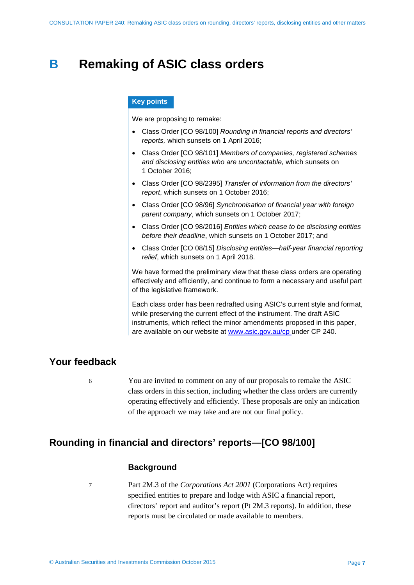# <span id="page-6-0"></span>**B Remaking of ASIC class orders**

#### **Key points**

We are proposing to remake:

- Class Order [CO 98/100] *Rounding in financial reports and directors' reports,* which sunsets on 1 April 2016;
- Class Order [CO 98/101] *Members of companies, registered schemes and disclosing entities who are uncontactable,* which sunsets on 1 October 2016;
- Class Order [CO 98/2395] *Transfer of information from the directors' report*, which sunsets on 1 October 2016;
- Class Order [CO 98/96] *Synchronisation of financial year with foreign parent company*, which sunsets on 1 October 2017;
- Class Order [CO 98/2016] *Entities which cease to be disclosing entities before their deadline*, which sunsets on 1 October 2017; and
- Class Order [CO 08/15] *Disclosing entities—half-year financial reporting relief*, which sunsets on 1 April 2018.

We have formed the preliminary view that these class orders are operating effectively and efficiently, and continue to form a necessary and useful part of the legislative framework.

Each class order has been redrafted using ASIC's current style and format, while preserving the current effect of the instrument. The draft ASIC instruments, which reflect the minor amendments proposed in this paper, are available on our website at [www.asic.gov.au/cp](http://www.asic.gov.au/regulatory-resources/find-a-document/consultation-papers/) under CP 240.

## <span id="page-6-1"></span>**Your feedback**

6 You are invited to comment on any of our proposals to remake the ASIC class orders in this section, including whether the class orders are currently operating effectively and efficiently. These proposals are only an indication of the approach we may take and are not our final policy.

# <span id="page-6-2"></span>**Rounding in financial and directors' reports—[CO 98/100]**

## **Background**

7 Part 2M.3 of the *Corporations Act 2001* (Corporations Act) requires specified entities to prepare and lodge with ASIC a financial report, directors' report and auditor's report (Pt 2M.3 reports). In addition, these reports must be circulated or made available to members.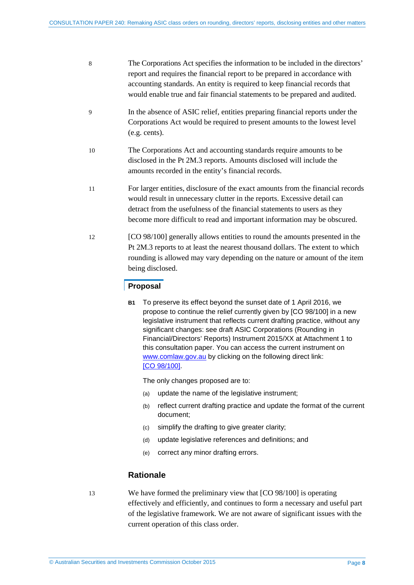| -8 | The Corporations Act specifies the information to be included in the directors' |
|----|---------------------------------------------------------------------------------|
|    | report and requires the financial report to be prepared in accordance with      |
|    | accounting standards. An entity is required to keep financial records that      |
|    | would enable true and fair financial statements to be prepared and audited.     |

- 9 In the absence of ASIC relief, entities preparing financial reports under the Corporations Act would be required to present amounts to the lowest level (e.g. cents).
- 10 The Corporations Act and accounting standards require amounts to be disclosed in the Pt 2M.3 reports. Amounts disclosed will include the amounts recorded in the entity's financial records.
- 11 For larger entities, disclosure of the exact amounts from the financial records would result in unnecessary clutter in the reports. Excessive detail can detract from the usefulness of the financial statements to users as they become more difficult to read and important information may be obscured.
- 12 [CO 98/100] generally allows entities to round the amounts presented in the Pt 2M.3 reports to at least the nearest thousand dollars. The extent to which rounding is allowed may vary depending on the nature or amount of the item being disclosed.

### **Proposal**

**B1** To preserve its effect beyond the sunset date of 1 April 2016, we propose to continue the relief currently given by [CO 98/100] in a new legislative instrument that reflects current drafting practice, without any significant changes: see draft ASIC Corporations (Rounding in Financial/Directors' Reports) Instrument 2015/XX at Attachment 1 to this consultation paper. You can access the current instrument on [www.comlaw.gov.au](http://www.comlaw.gov.au/) by clicking on the following direct link: [CO [98/100\].](http://www.comlaw.gov.au/Details/F2013C00717)

The only changes proposed are to:

- (a) update the name of the legislative instrument:
- (b) reflect current drafting practice and update the format of the current document;
- (c) simplify the drafting to give greater clarity;
- (d) update legislative references and definitions; and
- (e) correct any minor drafting errors.

## **Rationale**

13 We have formed the preliminary view that [CO 98/100] is operating effectively and efficiently, and continues to form a necessary and useful part of the legislative framework. We are not aware of significant issues with the current operation of this class order.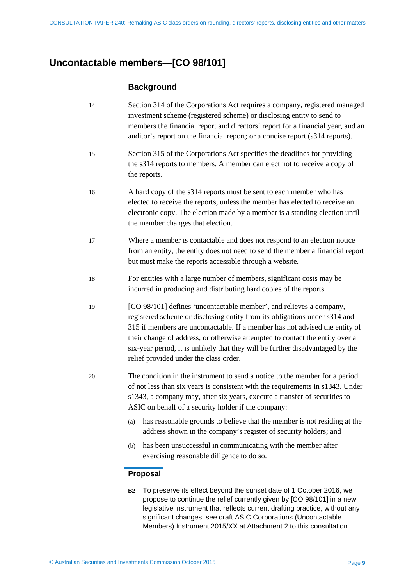# <span id="page-8-0"></span>**Uncontactable members—[CO 98/101]**

## **Background**

- 14 Section 314 of the Corporations Act requires a company, registered managed investment scheme (registered scheme) or disclosing entity to send to members the financial report and directors' report for a financial year, and an auditor's report on the financial report; or a concise report (s314 reports).
- 15 Section 315 of the Corporations Act specifies the deadlines for providing the s314 reports to members. A member can elect not to receive a copy of the reports.
- 16 A hard copy of the s314 reports must be sent to each member who has elected to receive the reports, unless the member has elected to receive an electronic copy. The election made by a member is a standing election until the member changes that election.
- 17 Where a member is contactable and does not respond to an election notice from an entity, the entity does not need to send the member a financial report but must make the reports accessible through a website.
- 18 For entities with a large number of members, significant costs may be incurred in producing and distributing hard copies of the reports.
- 19 [CO 98/101] defines 'uncontactable member', and relieves a company, registered scheme or disclosing entity from its obligations under s314 and 315 if members are uncontactable. If a member has not advised the entity of their change of address, or otherwise attempted to contact the entity over a six-year period, it is unlikely that they will be further disadvantaged by the relief provided under the class order.
- 20 The condition in the instrument to send a notice to the member for a period of not less than six years is consistent with the requirements in s1343. Under s1343, a company may, after six years, execute a transfer of securities to ASIC on behalf of a security holder if the company:
	- (a) has reasonable grounds to believe that the member is not residing at the address shown in the company's register of security holders; and
	- (b) has been unsuccessful in communicating with the member after exercising reasonable diligence to do so.

## **Proposal**

**B2** To preserve its effect beyond the sunset date of 1 October 2016, we propose to continue the relief currently given by [CO 98/101] in a new legislative instrument that reflects current drafting practice, without any significant changes: see draft ASIC Corporations (Uncontactable Members) Instrument 2015/XX at Attachment 2 to this consultation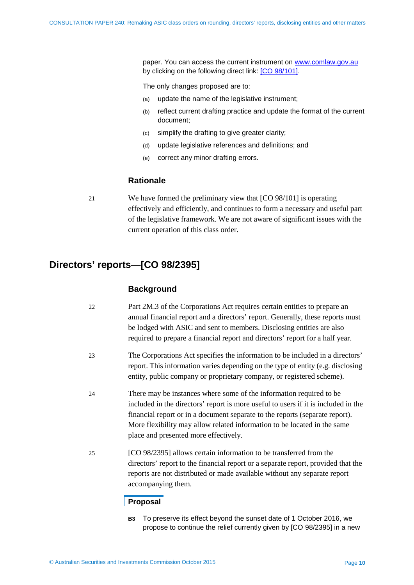paper. You can access the current instrument on [www.comlaw.gov.au](http://www.comlaw.gov.au/) by clicking on the following direct link: [CO [98/101\].](http://www.comlaw.gov.au/Details/F2006C00367)

The only changes proposed are to:

- (a) update the name of the legislative instrument;
- (b) reflect current drafting practice and update the format of the current document;
- (c) simplify the drafting to give greater clarity;
- (d) update legislative references and definitions; and
- (e) correct any minor drafting errors.

### **Rationale**

21 We have formed the preliminary view that [CO 98/101] is operating effectively and efficiently, and continues to form a necessary and useful part of the legislative framework. We are not aware of significant issues with the current operation of this class order.

# <span id="page-9-0"></span>**Directors' reports—[CO 98/2395]**

#### **Background**

- 22 Part 2M.3 of the Corporations Act requires certain entities to prepare an annual financial report and a directors' report. Generally, these reports must be lodged with ASIC and sent to members. Disclosing entities are also required to prepare a financial report and directors' report for a half year.
- 23 The Corporations Act specifies the information to be included in a directors' report. This information varies depending on the type of entity (e.g. disclosing entity, public company or proprietary company, or registered scheme).
- 24 There may be instances where some of the information required to be included in the directors' report is more useful to users if it is included in the financial report or in a document separate to the reports (separate report). More flexibility may allow related information to be located in the same place and presented more effectively.
- 25 [CO 98/2395] allows certain information to be transferred from the directors' report to the financial report or a separate report, provided that the reports are not distributed or made available without any separate report accompanying them.

#### **Proposal**

**B3** To preserve its effect beyond the sunset date of 1 October 2016, we propose to continue the relief currently given by [CO 98/2395] in a new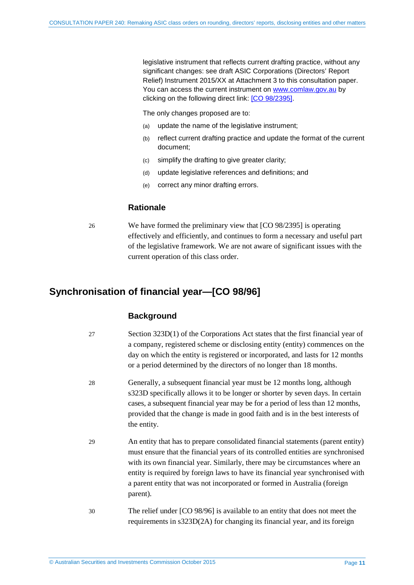legislative instrument that reflects current drafting practice, without any significant changes: see draft ASIC Corporations (Directors' Report Relief) Instrument 2015/XX at Attachment 3 to this consultation paper. You can access the current instrument on [www.comlaw.gov.au](http://www.comlaw.gov.au/) by clicking on the following direct link: [\[CO 98/2395\].](http://www.comlaw.gov.au/Details/F2006C00045)

The only changes proposed are to:

- (a) update the name of the legislative instrument;
- (b) reflect current drafting practice and update the format of the current document;
- (c) simplify the drafting to give greater clarity;
- (d) update legislative references and definitions; and
- (e) correct any minor drafting errors.

#### **Rationale**

26 We have formed the preliminary view that [CO 98/2395] is operating effectively and efficiently, and continues to form a necessary and useful part of the legislative framework. We are not aware of significant issues with the current operation of this class order.

## <span id="page-10-0"></span>**Synchronisation of financial year—[CO 98/96]**

#### **Background**

- 27 Section 323D(1) of the Corporations Act states that the first financial year of a company, registered scheme or disclosing entity (entity) commences on the day on which the entity is registered or incorporated, and lasts for 12 months or a period determined by the directors of no longer than 18 months.
- 28 Generally, a subsequent financial year must be 12 months long, although s323D specifically allows it to be longer or shorter by seven days. In certain cases, a subsequent financial year may be for a period of less than 12 months, provided that the change is made in good faith and is in the best interests of the entity.
- 29 An entity that has to prepare consolidated financial statements (parent entity) must ensure that the financial years of its controlled entities are synchronised with its own financial year. Similarly, there may be circumstances where an entity is required by foreign laws to have its financial year synchronised with a parent entity that was not incorporated or formed in Australia (foreign parent).
- 30 The relief under [CO 98/96] is available to an entity that does not meet the requirements in s323D(2A) for changing its financial year, and its foreign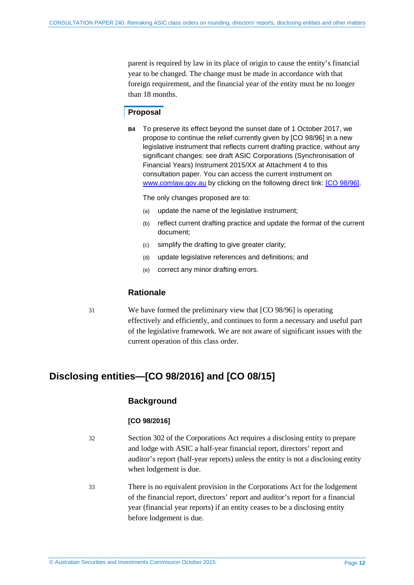parent is required by law in its place of origin to cause the entity's financial year to be changed. The change must be made in accordance with that foreign requirement, and the financial year of the entity must be no longer than 18 months.

### **Proposal**

**B4** To preserve its effect beyond the sunset date of 1 October 2017, we propose to continue the relief currently given by [CO 98/96] in a new legislative instrument that reflects current drafting practice, without any significant changes: see draft ASIC Corporations (Synchronisation of Financial Years) Instrument 2015/XX at Attachment 4 to this consultation paper. You can access the current instrument on [www.comlaw.gov.au](http://www.comlaw.gov.au/) by clicking on the following direct link: [CO [98/96\].](http://www.comlaw.gov.au/Details/F2012C00319)

The only changes proposed are to:

- (a) update the name of the legislative instrument;
- (b) reflect current drafting practice and update the format of the current document;
- (c) simplify the drafting to give greater clarity;
- (d) update legislative references and definitions; and
- (e) correct any minor drafting errors.

#### **Rationale**

31 We have formed the preliminary view that [CO 98/96] is operating effectively and efficiently, and continues to form a necessary and useful part of the legislative framework. We are not aware of significant issues with the current operation of this class order.

# <span id="page-11-0"></span>**Disclosing entities—[CO 98/2016] and [CO 08/15]**

#### **Background**

#### **[CO 98/2016]**

- 32 Section 302 of the Corporations Act requires a disclosing entity to prepare and lodge with ASIC a half-year financial report, directors' report and auditor's report (half-year reports) unless the entity is not a disclosing entity when lodgement is due.
- 33 There is no equivalent provision in the Corporations Act for the lodgement of the financial report, directors' report and auditor's report for a financial year (financial year reports) if an entity ceases to be a disclosing entity before lodgement is due.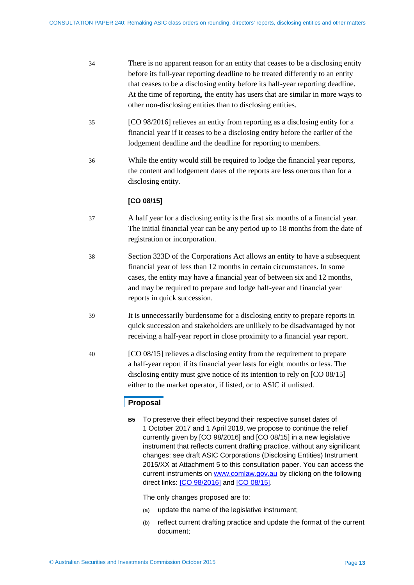| 34 | There is no apparent reason for an entity that ceases to be a disclosing entity |
|----|---------------------------------------------------------------------------------|
|    | before its full-year reporting deadline to be treated differently to an entity  |
|    | that ceases to be a disclosing entity before its half-year reporting deadline.  |
|    | At the time of reporting, the entity has users that are similar in more ways to |
|    | other non-disclosing entities than to disclosing entities.                      |

- 35 [CO 98/2016] relieves an entity from reporting as a disclosing entity for a financial year if it ceases to be a disclosing entity before the earlier of the lodgement deadline and the deadline for reporting to members.
- 36 While the entity would still be required to lodge the financial year reports, the content and lodgement dates of the reports are less onerous than for a disclosing entity*.*

### **[CO 08/15]**

- 37 A half year for a disclosing entity is the first six months of a financial year. The initial financial year can be any period up to 18 months from the date of registration or incorporation.
- 38 Section 323D of the Corporations Act allows an entity to have a subsequent financial year of less than 12 months in certain circumstances. In some cases, the entity may have a financial year of between six and 12 months, and may be required to prepare and lodge half-year and financial year reports in quick succession.
- 39 It is unnecessarily burdensome for a disclosing entity to prepare reports in quick succession and stakeholders are unlikely to be disadvantaged by not receiving a half-year report in close proximity to a financial year report.
- 40 [CO 08/15] relieves a disclosing entity from the requirement to prepare a half-year report if its financial year lasts for eight months or less. The disclosing entity must give notice of its intention to rely on [CO 08/15] either to the market operator, if listed, or to ASIC if unlisted.

## **Proposal**

**B5** To preserve their effect beyond their respective sunset dates of 1 October 2017 and 1 April 2018, we propose to continue the relief currently given by [CO 98/2016] and [CO 08/15] in a new legislative instrument that reflects current drafting practice, without any significant changes: see draft ASIC Corporations (Disclosing Entities) Instrument 2015/XX at Attachment 5 to this consultation paper. You can access the current instruments on [www.comlaw.gov.au](http://www.comlaw.gov.au/) by clicking on the following direct links: [CO [98/2016\]](http://www.comlaw.gov.au/Details/F2014C01011) and [CO [08/15\].](http://www.comlaw.gov.au/Details/F2008L00584)

The only changes proposed are to:

- (a) update the name of the legislative instrument;
- (b) reflect current drafting practice and update the format of the current document;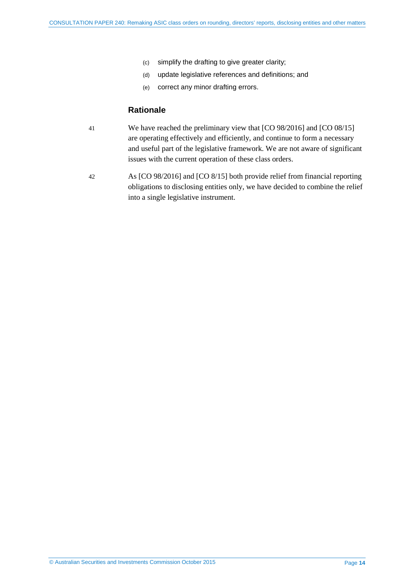- (c) simplify the drafting to give greater clarity;
- (d) update legislative references and definitions; and
- (e) correct any minor drafting errors.

#### **Rationale**

- 41 We have reached the preliminary view that [CO 98/2016] and [CO 08/15] are operating effectively and efficiently, and continue to form a necessary and useful part of the legislative framework. We are not aware of significant issues with the current operation of these class orders.
- 42 As [CO 98/2016] and [CO 8/15] both provide relief from financial reporting obligations to disclosing entities only, we have decided to combine the relief into a single legislative instrument.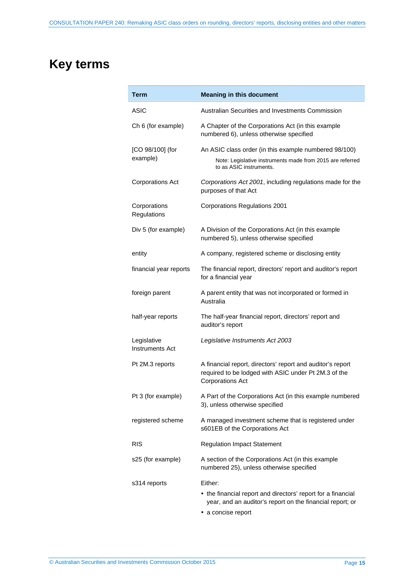# <span id="page-14-0"></span>**Key terms**

| Term                           | <b>Meaning in this document</b>                                                                                                                 |  |
|--------------------------------|-------------------------------------------------------------------------------------------------------------------------------------------------|--|
| ASIC                           | Australian Securities and Investments Commission                                                                                                |  |
| Ch 6 (for example)             | A Chapter of the Corporations Act (in this example<br>numbered 6), unless otherwise specified                                                   |  |
| [CO 98/100] (for<br>example)   | An ASIC class order (in this example numbered 98/100)<br>Note: Legislative instruments made from 2015 are referred<br>to as ASIC instruments.   |  |
| <b>Corporations Act</b>        | Corporations Act 2001, including regulations made for the<br>purposes of that Act                                                               |  |
| Corporations<br>Regulations    | <b>Corporations Regulations 2001</b>                                                                                                            |  |
| Div 5 (for example)            | A Division of the Corporations Act (in this example<br>numbered 5), unless otherwise specified                                                  |  |
| entity                         | A company, registered scheme or disclosing entity                                                                                               |  |
| financial year reports         | The financial report, directors' report and auditor's report<br>for a financial year                                                            |  |
| foreign parent                 | A parent entity that was not incorporated or formed in<br>Australia                                                                             |  |
| half-year reports              | The half-year financial report, directors' report and<br>auditor's report                                                                       |  |
| Legislative<br>Instruments Act | Legislative Instruments Act 2003                                                                                                                |  |
| Pt 2M.3 reports                | A financial report, directors' report and auditor's report<br>required to be lodged with ASIC under Pt 2M.3 of the<br><b>Corporations Act</b>   |  |
| Pt 3 (for example)             | A Part of the Corporations Act (in this example numbered<br>3), unless otherwise specified                                                      |  |
| registered scheme              | A managed investment scheme that is registered under<br>s601EB of the Corporations Act                                                          |  |
| <b>RIS</b>                     | <b>Regulation Impact Statement</b>                                                                                                              |  |
| s25 (for example)              | A section of the Corporations Act (in this example<br>numbered 25), unless otherwise specified                                                  |  |
| s314 reports                   | Either:                                                                                                                                         |  |
|                                | • the financial report and directors' report for a financial<br>year, and an auditor's report on the financial report; or<br>• a concise report |  |